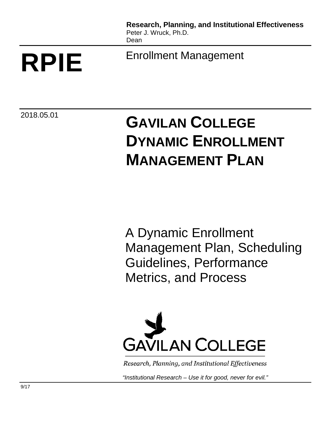**Research, Planning, and Institutional Effectiveness** Peter J. Wruck, Ph.D. Dean

# **RPIE**

### Enrollment Management

2018.05.01

## **GAVILAN COLLEGE DYNAMIC ENROLLMENT MANAGEMENT PLAN**

A Dynamic Enrollment Management Plan, Scheduling Guidelines, Performance Metrics, and Process



Research, Planning, and Institutional Effectiveness

*"Institutional Research – Use it for good, never for evil."*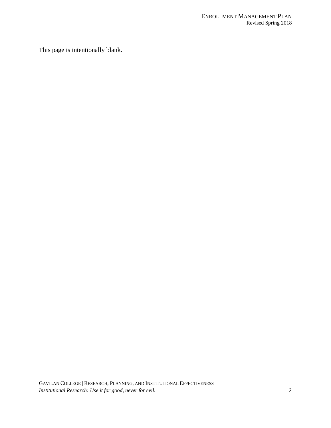This page is intentionally blank.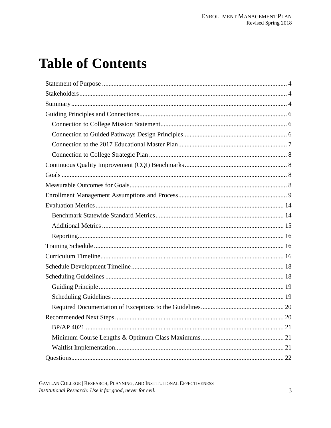## **Table of Contents**

GAVILAN COLLEGE | RESEARCH, PLANNING, AND INSTITUTIONAL EFFECTIVENESS Institutional Research: Use it for good, never for evil.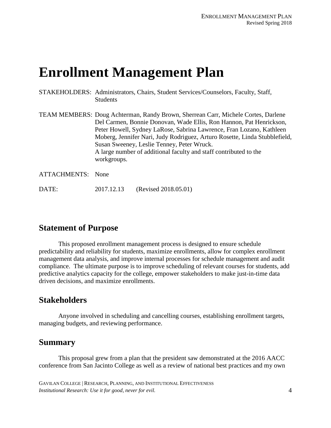## **Enrollment Management Plan**

STAKEHOLDERS: Administrators, Chairs, Student Services/Counselors, Faculty, Staff, **Students** 

TEAM MEMBERS: Doug Achterman, Randy Brown, Sherrean Carr, Michele Cortes, Darlene Del Carmen, Bonnie Donovan, Wade Ellis, Ron Hannon, Pat Henrickson, Peter Howell, Sydney LaRose, Sabrina Lawrence, Fran Lozano, Kathleen Moberg, Jennifer Nari, Judy Rodriguez, Arturo Rosette, Linda Stubblefield, Susan Sweeney, Leslie Tenney, Peter Wruck. A large number of additional faculty and staff contributed to the workgroups.

ATTACHMENTS: None

DATE: 2017.12.13 (Revised 2018.05.01)

#### <span id="page-3-0"></span>**Statement of Purpose**

This proposed enrollment management process is designed to ensure schedule predictability and reliability for students, maximize enrollments, allow for complex enrollment management data analysis, and improve internal processes for schedule management and audit compliance. The ultimate purpose is to improve scheduling of relevant courses for students, add predictive analytics capacity for the college, empower stakeholders to make just-in-time data driven decisions, and maximize enrollments.

#### <span id="page-3-1"></span>**Stakeholders**

Anyone involved in scheduling and cancelling courses, establishing enrollment targets, managing budgets, and reviewing performance.

#### <span id="page-3-2"></span>**Summary**

This proposal grew from a plan that the president saw demonstrated at the 2016 AACC conference from San Jacinto College as well as a review of national best practices and my own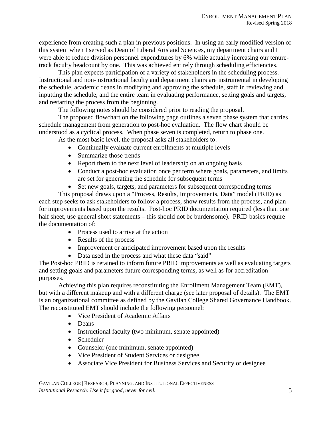experience from creating such a plan in previous positions. In using an early modified version of this system when I served as Dean of Liberal Arts and Sciences, my department chairs and I were able to reduce division personnel expenditures by 6% while actually increasing our tenuretrack faculty headcount by one. This was achieved entirely through scheduling efficiencies.

This plan expects participation of a variety of stakeholders in the scheduling process. Instructional and non-instructional faculty and department chairs are instrumental in developing the schedule, academic deans in modifying and approving the schedule, staff in reviewing and inputting the schedule, and the entire team in evaluating performance, setting goals and targets, and restarting the process from the beginning.

The following notes should be considered prior to reading the proposal.

The proposed flowchart on the following page outlines a seven phase system that carries schedule management from generation to post-hoc evaluation. The flow chart should be understood as a cyclical process. When phase seven is completed, return to phase one.

As the most basic level, the proposal asks all stakeholders to:

- Continually evaluate current enrollments at multiple levels
- Summarize those trends
- Report them to the next level of leadership on an ongoing basis
- Conduct a post-hoc evaluation once per term where goals, parameters, and limits are set for generating the schedule for subsequent terms
- Set new goals, targets, and parameters for subsequent corresponding terms

This proposal draws upon a "Process, Results, Improvements, Data" model (PRID) as each step seeks to ask stakeholders to follow a process, show results from the process, and plan for improvements based upon the results. Post-hoc PRID documentation required (less than one half sheet, use general short statements – this should not be burdensome). PRID basics require the documentation of:

- Process used to arrive at the action
- Results of the process
- Improvement or anticipated improvement based upon the results
- Data used in the process and what these data "said"

The Post-hoc PRID is retained to inform future PRID improvements as well as evaluating targets and setting goals and parameters future corresponding terms, as well as for accreditation purposes.

Achieving this plan requires reconstituting the Enrollment Management Team (EMT), but with a different makeup and with a different charge (see later proposal of details). The EMT is an organizational committee as defined by the Gavilan College Shared Governance Handbook. The reconstituted EMT should include the following personnel:

- Vice President of Academic Affairs
- Deans
- Instructional faculty (two minimum, senate appointed)
- Scheduler
- Counselor (one minimum, senate appointed)
- Vice President of Student Services or designee
- Associate Vice President for Business Services and Security or designee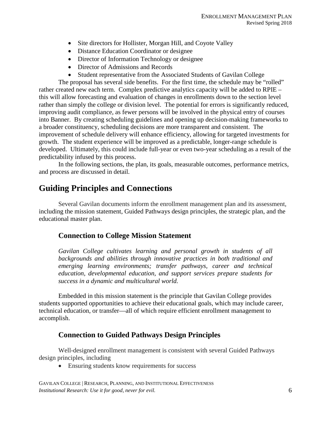- Site directors for Hollister, Morgan Hill, and Coyote Valley
- Distance Education Coordinator or designee
- Director of Information Technology or designee
- Director of Admissions and Records
- Student representative from the Associated Students of Gavilan College

The proposal has several side benefits. For the first time, the schedule may be "rolled" rather created new each term. Complex predictive analytics capacity will be added to RPIE – this will allow forecasting and evaluation of changes in enrollments down to the section level rather than simply the college or division level. The potential for errors is significantly reduced, improving audit compliance, as fewer persons will be involved in the physical entry of courses into Banner. By creating scheduling guidelines and opening up decision-making frameworks to a broader constituency, scheduling decisions are more transparent and consistent. The improvement of schedule delivery will enhance efficiency, allowing for targeted investments for growth. The student experience will be improved as a predictable, longer-range schedule is developed. Ultimately, this could include full-year or even two-year scheduling as a result of the predictability infused by this process.

In the following sections, the plan, its goals, measurable outcomes, performance metrics, and process are discussed in detail.

#### <span id="page-5-0"></span>**Guiding Principles and Connections**

Several Gavilan documents inform the enrollment management plan and its assessment, including the mission statement, Guided Pathways design principles, the strategic plan, and the educational master plan.

#### <span id="page-5-1"></span>**Connection to College Mission Statement**

*Gavilan College cultivates learning and personal growth in students of all backgrounds and abilities through innovative practices in both traditional and emerging learning environments; transfer pathways, career and technical education, developmental education, and support services prepare students for success in a dynamic and multicultural world.*

Embedded in this mission statement is the principle that Gavilan College provides students supported opportunities to achieve their educational goals, which may include career, technical education, or transfer—all of which require efficient enrollment management to accomplish.

#### **Connection to Guided Pathways Design Principles**

<span id="page-5-2"></span>Well-designed enrollment management is consistent with several Guided Pathways design principles, including

• Ensuring students know requirements for success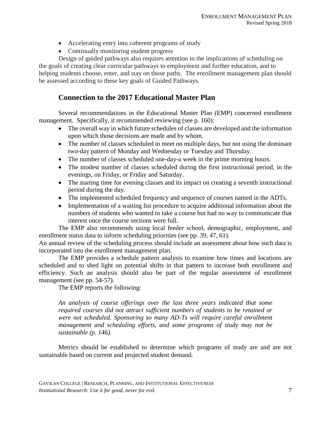- Accelerating entry into coherent programs of study
- Continually monitoring student progress

Design of guided pathways also requires attention to the implications of scheduling on the goals of creating clear curricular pathways to employment and further education, and to helping students choose, enter, and stay on those paths. The enrollment management plan should be assessed according to these key goals of Guided Pathways.

#### **Connection to the 2017 Educational Master Plan**

<span id="page-6-0"></span>Several recommendations in the Educational Master Plan (EMP) concerned enrollment management. Specifically, it recommended reviewing (see p. 160):

- The overall way in which future schedules of classes are developed and the information upon which those decisions are made and by whom.
- The number of classes scheduled to meet on multiple days, but not using the dominant two-day pattern of Monday and Wednesday or Tuesday and Thursday.
- The number of classes scheduled one-day-a week in the prime morning hours.
- The modest number of classes scheduled during the first instructional period, in the evenings, on Friday, or Friday and Saturday.
- The starting time for evening classes and its impact on creating a seventh instructional period during the day.
- The implemented scheduled frequency and sequence of courses named in the ADTs.
- Implementation of a waiting list procedure to acquire additional information about the numbers of students who wanted to take a course but had no way to communicate that interest once the course sections were full.

The EMP also recommends using local feeder school, demographic, employment, and enrollment status data to inform scheduling priorities (see pp. 39, 47, 61).

An annual review of the scheduling process should include an assessment about how such data is incorporated into the enrollment management plan.

The EMP provides a schedule pattern analysis to examine how times and locations are scheduled and to shed light on potential shifts in that pattern to increase both enrollment and efficiency. Such an analysis should also be part of the regular assessment of enrollment management (see pp. 54-57).

The EMP reports the following:

*An analysis of course offerings over the last three years indicated that some required courses did not attract sufficient numbers of students to be retained or were not scheduled. Sponsoring so many AD-Ts will require careful enrollment management and scheduling efforts, and some programs of study may not be sustainable (p. 146).*

Metrics should be established to determine which programs of study are and are not sustainable based on current and projected student demand.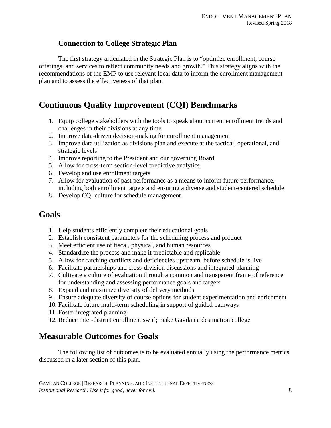#### **Connection to College Strategic Plan**

<span id="page-7-0"></span>The first strategy articulated in the Strategic Plan is to "optimize enrollment, course offerings, and services to reflect community needs and growth." This strategy aligns with the recommendations of the EMP to use relevant local data to inform the enrollment management plan and to assess the effectiveness of that plan.

#### <span id="page-7-1"></span>**Continuous Quality Improvement (CQI) Benchmarks**

- 1. Equip college stakeholders with the tools to speak about current enrollment trends and challenges in their divisions at any time
- 2. Improve data-driven decision-making for enrollment management
- 3. Improve data utilization as divisions plan and execute at the tactical, operational, and strategic levels
- 4. Improve reporting to the President and our governing Board
- 5. Allow for cross-term section-level predictive analytics
- 6. Develop and use enrollment targets
- 7. Allow for evaluation of past performance as a means to inform future performance, including both enrollment targets and ensuring a diverse and student-centered schedule
- 8. Develop CQI culture for schedule management

#### <span id="page-7-2"></span>**Goals**

- 1. Help students efficiently complete their educational goals
- 2. Establish consistent parameters for the scheduling process and product
- 3. Meet efficient use of fiscal, physical, and human resources
- 4. Standardize the process and make it predictable and replicable
- 5. Allow for catching conflicts and deficiencies upstream, before schedule is live
- 6. Facilitate partnerships and cross-division discussions and integrated planning
- 7. Cultivate a culture of evaluation through a common and transparent frame of reference for understanding and assessing performance goals and targets
- 8. Expand and maximize diversity of delivery methods
- 9. Ensure adequate diversity of course options for student experimentation and enrichment
- 10. Facilitate future multi-term scheduling in support of guided pathways
- 11. Foster integrated planning
- 12. Reduce inter-district enrollment swirl; make Gavilan a destination college

#### <span id="page-7-3"></span>**Measurable Outcomes for Goals**

The following list of outcomes is to be evaluated annually using the performance metrics discussed in a later section of this plan.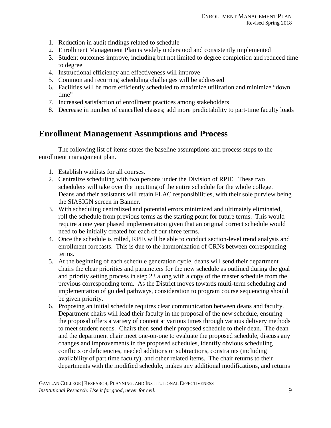- 1. Reduction in audit findings related to schedule
- 2. Enrollment Management Plan is widely understood and consistently implemented
- 3. Student outcomes improve, including but not limited to degree completion and reduced time to degree
- 4. Instructional efficiency and effectiveness will improve
- 5. Common and recurring scheduling challenges will be addressed
- 6. Facilities will be more efficiently scheduled to maximize utilization and minimize "down time"
- 7. Increased satisfaction of enrollment practices among stakeholders
- 8. Decrease in number of cancelled classes; add more predictability to part-time faculty loads

#### <span id="page-8-0"></span>**Enrollment Management Assumptions and Process**

The following list of items states the baseline assumptions and process steps to the enrollment management plan.

- 1. Establish waitlists for all courses.
- 2. Centralize scheduling with two persons under the Division of RPIE. These two schedulers will take over the inputting of the entire schedule for the whole college. Deans and their assistants will retain FLAC responsibilities, with their sole purview being the SIASIGN screen in Banner.
- 3. With scheduling centralized and potential errors minimized and ultimately eliminated, roll the schedule from previous terms as the starting point for future terms. This would require a one year phased implementation given that an original correct schedule would need to be initially created for each of our three terms.
- 4. Once the schedule is rolled, RPIE will be able to conduct section-level trend analysis and enrollment forecasts. This is due to the harmonization of CRNs between corresponding terms.
- 5. At the beginning of each schedule generation cycle, deans will send their department chairs the clear priorities and parameters for the new schedule as outlined during the goal and priority setting process in step 23 along with a copy of the master schedule from the previous corresponding term. As the District moves towards multi-term scheduling and implementation of guided pathways, consideration to program course sequencing should be given priority.
- 6. Proposing an initial schedule requires clear communication between deans and faculty. Department chairs will lead their faculty in the proposal of the new schedule, ensuring the proposal offers a variety of content at various times through various delivery methods to meet student needs. Chairs then send their proposed schedule to their dean. The dean and the department chair meet one-on-one to evaluate the proposed schedule, discuss any changes and improvements in the proposed schedules, identify obvious scheduling conflicts or deficiencies, needed additions or subtractions, constraints (including availability of part time faculty), and other related items. The chair returns to their departments with the modified schedule, makes any additional modifications, and returns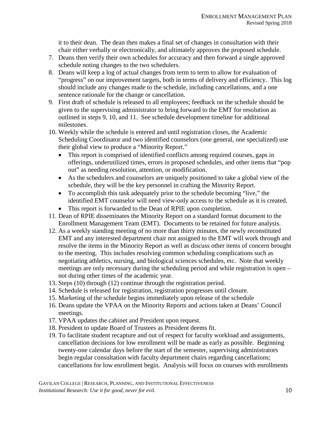it to their dean. The dean then makes a final set of changes in consultation with their chair either verbally or electronically, and ultimately approves the proposed schedule.

- 7. Deans then verify their own schedules for accuracy and then forward a single approved schedule noting changes to the two schedulers.
- 8. Deans will keep a log of actual changes from term to term to allow for evaluation of "progress" on our improvement targets, both in terms of delivery and efficiency. This log should include any changes made to the schedule, including cancellations, and a one sentence rationale for the change or cancellation.
- 9. First draft of schedule is released to all employees; feedback on the schedule should be given to the supervising administrator to bring forward to the EMT for resolution as outlined in steps 9, 10, and 11. See schedule development timeline for additional milestones.
- 10. Weekly while the schedule is entered and until registration closes, the Academic Scheduling Coordinator and two identified counselors (one general, one specialized) use their global view to produce a "Minority Report."
	- This report is comprised of identified conflicts among required courses, gaps in offerings, underutilized times, errors in proposed schedules, and other items that "pop out" as needing resolution, attention, or modification.
	- As the schedulers and counselors are uniquely positioned to take a global view of the schedule, they will be the key personnel in crafting the Minority Report.
	- To accomplish this task adequately prior to the schedule becoming "live," the identified EMT counselor will need view-only access to the schedule as it is created.
	- This report is forwarded to the Dean of RPIE upon completion.
- 11. Dean of RPIE disseminates the Minority Report on a standard format document to the Enrollment Management Team (EMT). Documents to be retained for future analysis.
- 12. As a weekly standing meeting of no more than thirty minutes, the newly reconstituted EMT and any interested department chair not assigned to the EMT will work through and resolve the items in the Minority Report as well as discuss other items of concern brought to the meeting. This includes resolving common scheduling complications such as negotiating athletics, nursing, and biological sciences schedules, etc. Note that weekly meetings are only necessary during the scheduling period and while registration is open – not during other times of the academic year.
- 13. Steps (10) through (12) continue through the registration period.
- 14. Schedule is released for registration, registration progresses until closure.
- 15. Marketing of the schedule begins immediately upon release of the schedule
- 16. Deans update the VPAA on the Minority Reports and actions taken at Deans' Council meetings.
- 17. VPAA updates the cabinet and President upon request.
- 18. President to update Board of Trustees as President deems fit.
- 19. To facilitate student recapture and out of respect for faculty workload and assignments, cancellation decisions for low enrollment will be made as early as possible. Beginning twenty-one calendar days before the start of the semester, supervising administrators begin regular consultation with faculty department chairs regarding cancellations; cancellations for low enrollment begin. Analysis will focus on courses with enrollments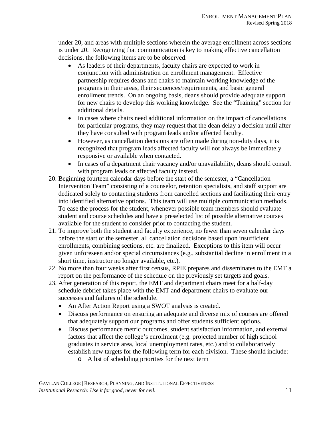under 20, and areas with multiple sections wherein the average enrollment across sections is under 20. Recognizing that communication is key to making effective cancellation decisions, the following items are to be observed:

- As leaders of their departments, faculty chairs are expected to work in conjunction with administration on enrollment management. Effective partnership requires deans and chairs to maintain working knowledge of the programs in their areas, their sequences/requirements, and basic general enrollment trends. On an ongoing basis, deans should provide adequate support for new chairs to develop this working knowledge. See the "Training" section for additional details.
- In cases where chairs need additional information on the impact of cancellations for particular programs, they may request that the dean delay a decision until after they have consulted with program leads and/or affected faculty.
- However, as cancellation decisions are often made during non-duty days, it is recognized that program leads affected faculty will not always be immediately responsive or available when contacted.
- In cases of a department chair vacancy and/or unavailability, deans should consult with program leads or affected faculty instead.
- 20. Beginning fourteen calendar days before the start of the semester, a "Cancellation Intervention Team" consisting of a counselor, retention specialists, and staff support are dedicated solely to contacting students from cancelled sections and facilitating their entry into identified alternative options. This team will use multiple communication methods. To ease the process for the student, whenever possible team members should evaluate student and course schedules and have a preselected list of possible alternative courses available for the student to consider prior to contacting the student.
- 21. To improve both the student and faculty experience, no fewer than seven calendar days before the start of the semester, all cancellation decisions based upon insufficient enrollments, combining sections, etc. are finalized. Exceptions to this item will occur given unforeseen and/or special circumstances (e.g., substantial decline in enrollment in a short time, instructor no longer available, etc.).
- 22. No more than four weeks after first census, RPIE prepares and disseminates to the EMT a report on the performance of the schedule on the previously set targets and goals.
- 23. After generation of this report, the EMT and department chairs meet for a half-day schedule debrief takes place with the EMT and department chairs to evaluate our successes and failures of the schedule.
	- An After Action Report using a SWOT analysis is created.
	- Discuss performance on ensuring an adequate and diverse mix of courses are offered that adequately support our programs and offer students sufficient options.
	- Discuss performance metric outcomes, student satisfaction information, and external factors that affect the college's enrollment (e.g. projected number of high school graduates in service area, local unemployment rates, etc.) and to collaboratively establish new targets for the following term for each division. These should include:
		- o A list of scheduling priorities for the next term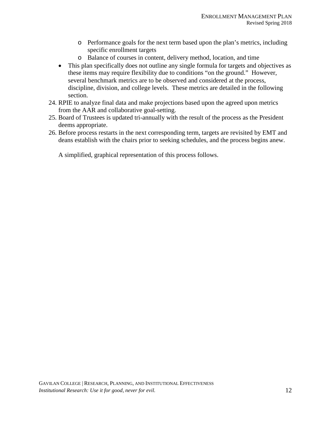- o Performance goals for the next term based upon the plan's metrics, including specific enrollment targets
- o Balance of courses in content, delivery method, location, and time
- This plan specifically does not outline any single formula for targets and objectives as these items may require flexibility due to conditions "on the ground." However, several benchmark metrics are to be observed and considered at the process, discipline, division, and college levels. These metrics are detailed in the following section.
- 24. RPIE to analyze final data and make projections based upon the agreed upon metrics from the AAR and collaborative goal-setting.
- 25. Board of Trustees is updated tri-annually with the result of the process as the President deems appropriate.
- 26. Before process restarts in the next corresponding term, targets are revisited by EMT and deans establish with the chairs prior to seeking schedules, and the process begins anew.

A simplified, graphical representation of this process follows.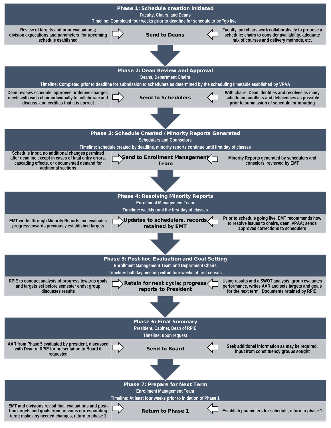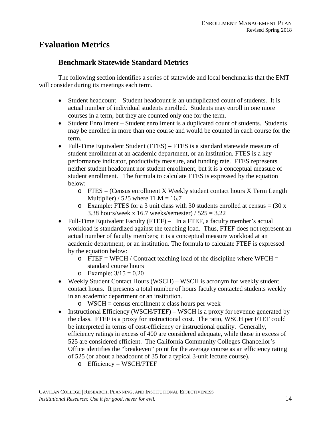#### <span id="page-13-0"></span>**Evaluation Metrics**

#### <span id="page-13-1"></span>**Benchmark Statewide Standard Metrics**

The following section identifies a series of statewide and local benchmarks that the EMT will consider during its meetings each term.

- Student headcount Student headcount is an unduplicated count of students. It is actual number of individual students enrolled. Students may enroll in one more courses in a term, but they are counted only one for the term.
- Student Enrollment Student enrollment is a duplicated count of students. Students may be enrolled in more than one course and would be counted in each course for the term.
- Full-Time Equivalent Student (FTES) FTES is a standard statewide measure of student enrollment at an academic department, or an institution. FTES is a key performance indicator, productivity measure, and funding rate. FTES represents neither student headcount nor student enrollment, but it is a conceptual measure of student enrollment. The formula to calculate FTES is expressed by the equation below:
	- $\circ$  FTES = (Census enrollment X Weekly student contact hours X Term Length Multiplier) / 525 where  $TLM = 16.7$
	- $\circ$  Example: FTES for a 3 unit class with 30 students enrolled at census = (30 x 3.38 hours/week x 16.7 weeks/semester) / 525 = 3.22
- Full-Time Equivalent Faculty (FTEF) In a FTEF, a faculty member's actual workload is standardized against the teaching load. Thus, FTEF does not represent an actual number of faculty members; it is a conceptual measure workload at an academic department, or an institution. The formula to calculate FTEF is expressed by the equation below:
	- $\circ$  FTEF = WFCH / Contract teaching load of the discipline where WFCH = standard course hours
	- o Example:  $3/15 = 0.20$
- Weekly Student Contact Hours (WSCH) WSCH is acronym for weekly student contact hours. It presents a total number of hours faculty contacted students weekly in an academic department or an institution.
	- o WSCH = census enrollment x class hours per week
- Instructional Efficiency (WSCH/FTEF) WSCH is a proxy for revenue generated by the class. FTEF is a proxy for instructional cost. The ratio, WSCH per FTEF could be interpreted in terms of cost-efficiency or instructional quality. Generally, efficiency ratings in excess of 400 are considered adequate, while those in excess of 525 are considered efficient. The California Community Colleges Chancellor's Office identifies the "breakeven" point for the average course as an efficiency rating of 525 (or about a headcount of 35 for a typical 3-unit lecture course).
	- $\circ$  Efficiency = WSCH/FTEF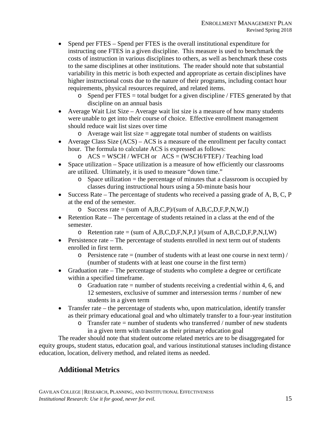- Spend per FTES Spend per FTES is the overall institutional expenditure for instructing one FTES in a given discipline. This measure is used to benchmark the costs of instruction in various disciplines to others, as well as benchmark these costs to the same disciplines at other institutions. The reader should note that substantial variability in this metric is both expected and appropriate as certain disciplines have higher instructional costs due to the nature of their programs, including contact hour requirements, physical resources required, and related items.
	- $\circ$  Spend per FTES = total budget for a given discipline / FTES generated by that discipline on an annual basis
- Average Wait List Size Average wait list size is a measure of how many students were unable to get into their course of choice. Effective enrollment management should reduce wait list sizes over time
	- $\circ$  Average wait list size = aggregate total number of students on waitlists
- Average Class Size (ACS) ACS is a measure of the enrollment per faculty contact hour. The formula to calculate ACS is expressed as follows:
	- $\circ$  ACS = WSCH / WFCH or ACS = (WSCH/FTEF) / Teaching load
- Space utilization Space utilization is a measure of how efficiently our classrooms are utilized. Ultimately, it is used to measure "down time."
	- $\circ$  Space utilization = the percentage of minutes that a classroom is occupied by classes during instructional hours using a 50-minute basis hour
- Success Rate The percentage of students who received a passing grade of A, B, C, P at the end of the semester.
	- o Success rate =  $\text{(sum of A, B, C, P)/(sum of A, B, C, D, F, P, N, W, I)}$
- Retention Rate The percentage of students retained in a class at the end of the semester.
	- o Retention rate = (sum of  $A, B, C, D, F, N, P, I$ )/(sum of  $A, B, C, D, F, P, N, I, W$ )
- Persistence rate The percentage of students enrolled in next term out of students enrolled in first term.
	- $\circ$  Persistence rate = (number of students with at least one course in next term) / (number of students with at least one course in the first term)
- Graduation rate The percentage of students who complete a degree or certificate within a specified timeframe.
	- o Graduation rate = number of students receiving a credential within 4, 6, and 12 semesters, exclusive of summer and intersession terms / number of new students in a given term
- Transfer rate the percentage of students who, upon matriculation, identify transfer as their primary educational goal and who ultimately transfer to a four-year institution
	- o Transfer rate = number of students who transferred / number of new students in a given term with transfer as their primary education goal

The reader should note that student outcome related metrics are to be disaggregated for equity groups, student status, education goal, and various institutional statuses including distance education, location, delivery method, and related items as needed.

#### <span id="page-14-0"></span>**Additional Metrics**

GAVILAN COLLEGE | RESEARCH, PLANNING, AND INSTITUTIONAL EFFECTIVENESS *Institutional Research: Use it for good, never for evil.* 15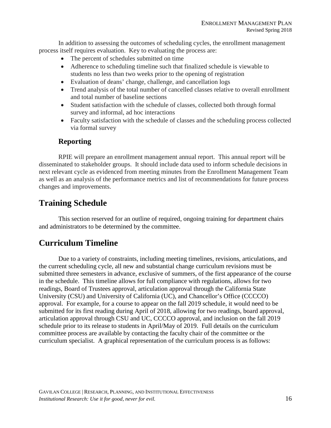In addition to assessing the outcomes of scheduling cycles, the enrollment management process itself requires evaluation. Key to evaluating the process are:

- The percent of schedules submitted on time
- Adherence to scheduling timeline such that finalized schedule is viewable to students no less than two weeks prior to the opening of registration
- Evaluation of deans' change, challenge, and cancellation logs
- Trend analysis of the total number of cancelled classes relative to overall enrollment and total number of baseline sections
- Student satisfaction with the schedule of classes, collected both through formal survey and informal, ad hoc interactions
- Faculty satisfaction with the schedule of classes and the scheduling process collected via formal survey

#### **Reporting**

<span id="page-15-0"></span>RPIE will prepare an enrollment management annual report. This annual report will be disseminated to stakeholder groups. It should include data used to inform schedule decisions in next relevant cycle as evidenced from meeting minutes from the Enrollment Management Team as well as an analysis of the performance metrics and list of recommendations for future process changes and improvements.

#### <span id="page-15-1"></span>**Training Schedule**

This section reserved for an outline of required, ongoing training for department chairs and administrators to be determined by the committee.

#### <span id="page-15-2"></span>**Curriculum Timeline**

Due to a variety of constraints, including meeting timelines, revisions, articulations, and the current scheduling cycle, all new and substantial change curriculum revisions must be submitted three semesters in advance, exclusive of summers, of the first appearance of the course in the schedule. This timeline allows for full compliance with regulations, allows for two readings, Board of Trustees approval, articulation approval through the California State University (CSU) and University of California (UC), and Chancellor's Office (CCCCO) approval. For example, for a course to appear on the fall 2019 schedule, it would need to be submitted for its first reading during April of 2018, allowing for two readings, board approval, articulation approval through CSU and UC, CCCCO approval, and inclusion on the fall 2019 schedule prior to its release to students in April/May of 2019. Full details on the curriculum committee process are available by contacting the faculty chair of the committee or the curriculum specialist. A graphical representation of the curriculum process is as follows: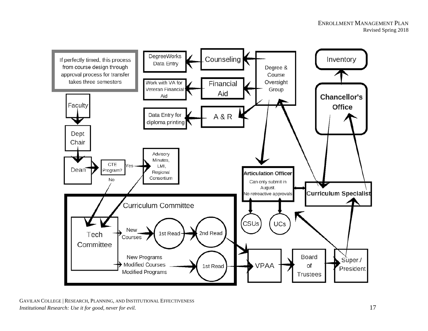

GAVILAN COLLEGE | RESEARCH, PLANNING, AND INSTITUTIONAL EFFECTIVENESS *Institutional Research: Use it for good, never for evil.* 17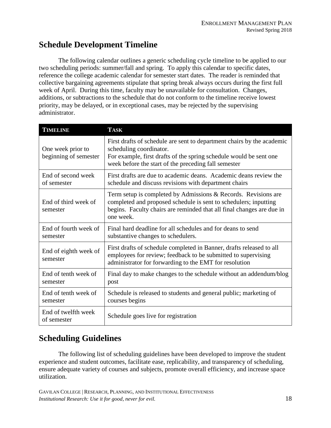#### <span id="page-17-0"></span>**Schedule Development Timeline**

The following calendar outlines a generic scheduling cycle timeline to be applied to our two scheduling periods: summer/fall and spring. To apply this calendar to specific dates, reference the college academic calendar for semester start dates. The reader is reminded that collective bargaining agreements stipulate that spring break always occurs during the first full week of April. During this time, faculty may be unavailable for consultation. Changes, additions, or subtractions to the schedule that do not conform to the timeline receive lowest priority, may be delayed, or in exceptional cases, may be rejected by the supervising administrator.

| <b>TIMELINE</b>                            | <b>TASK</b>                                                                                                                                                                                                                     |
|--------------------------------------------|---------------------------------------------------------------------------------------------------------------------------------------------------------------------------------------------------------------------------------|
| One week prior to<br>beginning of semester | First drafts of schedule are sent to department chairs by the academic<br>scheduling coordinator.<br>For example, first drafts of the spring schedule would be sent one<br>week before the start of the preceding fall semester |
| End of second week<br>of semester          | First drafts are due to academic deans. Academic deans review the<br>schedule and discuss revisions with department chairs                                                                                                      |
| End of third week of<br>semester           | Term setup is completed by Admissions & Records. Revisions are<br>completed and proposed schedule is sent to schedulers; inputting<br>begins. Faculty chairs are reminded that all final changes are due in<br>one week.        |
| End of fourth week of<br>semester          | Final hard deadline for all schedules and for deans to send<br>substantive changes to schedulers.                                                                                                                               |
| End of eighth week of<br>semester          | First drafts of schedule completed in Banner, drafts released to all<br>employees for review; feedback to be submitted to supervising<br>administrator for forwarding to the EMT for resolution                                 |
| End of tenth week of<br>semester           | Final day to make changes to the schedule without an addendum/blog<br>post                                                                                                                                                      |
| End of tenth week of<br>semester           | Schedule is released to students and general public; marketing of<br>courses begins                                                                                                                                             |
| End of twelfth week<br>of semester         | Schedule goes live for registration                                                                                                                                                                                             |

#### <span id="page-17-1"></span>**Scheduling Guidelines**

The following list of scheduling guidelines have been developed to improve the student experience and student outcomes, facilitate ease, replicability, and transparency of scheduling, ensure adequate variety of courses and subjects, promote overall efficiency, and increase space utilization.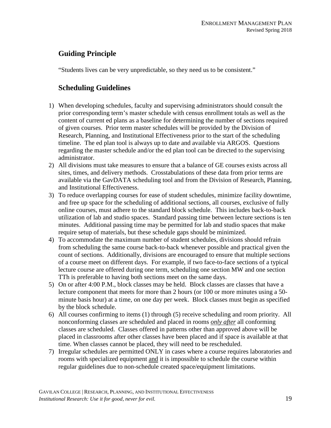#### <span id="page-18-0"></span>**Guiding Principle**

"Students lives can be very unpredictable, so they need us to be consistent."

#### <span id="page-18-1"></span>**Scheduling Guidelines**

- 1) When developing schedules, faculty and supervising administrators should consult the prior corresponding term's master schedule with census enrollment totals as well as the content of current ed plans as a baseline for determining the number of sections required of given courses. Prior term master schedules will be provided by the Division of Research, Planning, and Institutional Effectiveness prior to the start of the scheduling timeline. The ed plan tool is always up to date and available via ARGOS. Questions regarding the master schedule and/or the ed plan tool can be directed to the supervising administrator.
- 2) All divisions must take measures to ensure that a balance of GE courses exists across all sites, times, and delivery methods. Crosstabulations of these data from prior terms are available via the GavDATA scheduling tool and from the Division of Research, Planning, and Institutional Effectiveness.
- 3) To reduce overlapping courses for ease of student schedules, minimize facility downtime, and free up space for the scheduling of additional sections, all courses, exclusive of fully online courses, must adhere to the standard block schedule. This includes back-to-back utilization of lab and studio spaces. Standard passing time between lecture sections is ten minutes. Additional passing time may be permitted for lab and studio spaces that make require setup of materials, but these schedule gaps should be minimized.
- 4) To accommodate the maximum number of student schedules, divisions should refrain from scheduling the same course back-to-back whenever possible and practical given the count of sections. Additionally, divisions are encouraged to ensure that multiple sections of a course meet on different days. For example, if two face-to-face sections of a typical lecture course are offered during one term, scheduling one section MW and one section TTh is preferable to having both sections meet on the same days.
- 5) On or after 4:00 P.M., block classes may be held. Block classes are classes that have a lecture component that meets for more than 2 hours (or 100 or more minutes using a 50 minute basis hour) at a time, on one day per week. Block classes must begin as specified by the block schedule.
- 6) All courses confirming to items (1) through (5) receive scheduling and room priority. All nonconforming classes are scheduled and placed in rooms *only after* all conforming classes are scheduled. Classes offered in patterns other than approved above will be placed in classrooms after other classes have been placed and if space is available at that time. When classes cannot be placed, they will need to be rescheduled.
- 7) Irregular schedules are permitted ONLY in cases where a course requires laboratories and rooms with specialized equipment and it is impossible to schedule the course within regular guidelines due to non-schedule created space/equipment limitations.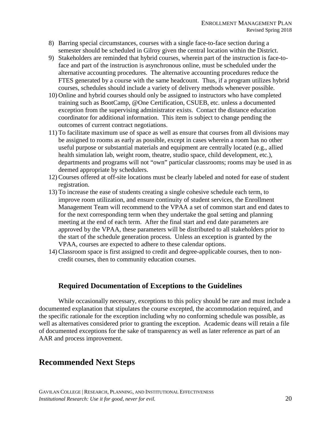- 8) Barring special circumstances, courses with a single face-to-face section during a semester should be scheduled in Gilroy given the central location within the District.
- 9) Stakeholders are reminded that hybrid courses, wherein part of the instruction is face-toface and part of the instruction is asynchronous online, must be scheduled under the alternative accounting procedures. The alternative accounting procedures reduce the FTES generated by a course with the same headcount. Thus, if a program utilizes hybrid courses, schedules should include a variety of delivery methods whenever possible.
- 10) Online and hybrid courses should only be assigned to instructors who have completed training such as BootCamp, @One Certification, CSUEB, etc. unless a documented exception from the supervising administrator exists. Contact the distance education coordinator for additional information. This item is subject to change pending the outcomes of current contract negotiations.
- 11) To facilitate maximum use of space as well as ensure that courses from all divisions may be assigned to rooms as early as possible, except in cases wherein a room has no other useful purpose or substantial materials and equipment are centrally located (e.g., allied health simulation lab, weight room, theatre, studio space, child development, etc.), departments and programs will not "own" particular classrooms; rooms may be used in as deemed appropriate by schedulers.
- 12) Courses offered at off-site locations must be clearly labeled and noted for ease of student registration.
- 13) To increase the ease of students creating a single cohesive schedule each term, to improve room utilization, and ensure continuity of student services, the Enrollment Management Team will recommend to the VPAA a set of common start and end dates to for the next corresponding term when they undertake the goal setting and planning meeting at the end of each term. After the final start and end date parameters are approved by the VPAA, these parameters will be distributed to all stakeholders prior to the start of the schedule generation process. Unless an exception is granted by the VPAA, courses are expected to adhere to these calendar options.
- 14) Classroom space is first assigned to credit and degree-applicable courses, then to noncredit courses, then to community education courses.

#### **Required Documentation of Exceptions to the Guidelines**

<span id="page-19-0"></span>While occasionally necessary, exceptions to this policy should be rare and must include a documented explanation that stipulates the course excepted, the accommodation required, and the specific rationale for the exception including why no conforming schedule was possible, as well as alternatives considered prior to granting the exception. Academic deans will retain a file of documented exceptions for the sake of transparency as well as later reference as part of an AAR and process improvement.

#### <span id="page-19-1"></span>**Recommended Next Steps**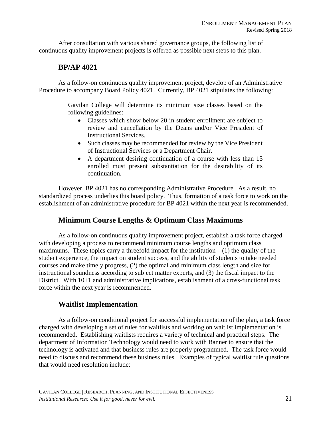After consultation with various shared governance groups, the following list of continuous quality improvement projects is offered as possible next steps to this plan.

#### **BP/AP 4021**

<span id="page-20-0"></span>As a follow-on continuous quality improvement project, develop of an Administrative Procedure to accompany Board Policy 4021. Currently, BP 4021 stipulates the following:

> Gavilan College will determine its minimum size classes based on the following guidelines:

- Classes which show below 20 in student enrollment are subject to review and cancellation by the Deans and/or Vice President of Instructional Services.
- Such classes may be recommended for review by the Vice President of Instructional Services or a Department Chair.
- A department desiring continuation of a course with less than 15 enrolled must present substantiation for the desirability of its continuation.

However, BP 4021 has no corresponding Administrative Procedure. As a result, no standardized process underlies this board policy. Thus, formation of a task force to work on the establishment of an administrative procedure for BP 4021 within the next year is recommended.

#### <span id="page-20-1"></span>**Minimum Course Lengths & Optimum Class Maximums**

As a follow-on continuous quality improvement project, establish a task force charged with developing a process to recommend minimum course lengths and optimum class maximums. These topics carry a threefold impact for the institution  $- (1)$  the quality of the student experience, the impact on student success, and the ability of students to take needed courses and make timely progress, (2) the optimal and minimum class length and size for instructional soundness according to subject matter experts, and (3) the fiscal impact to the District. With 10+1 and administrative implications, establishment of a cross-functional task force within the next year is recommended.

#### **Waitlist Implementation**

<span id="page-20-2"></span>As a follow-on conditional project for successful implementation of the plan, a task force charged with developing a set of rules for waitlists and working on waitlist implementation is recommended. Establishing waitlists requires a variety of technical and practical steps. The department of Information Technology would need to work with Banner to ensure that the technology is activated and that business rules are properly programmed. The task force would need to discuss and recommend these business rules. Examples of typical waitlist rule questions that would need resolution include: